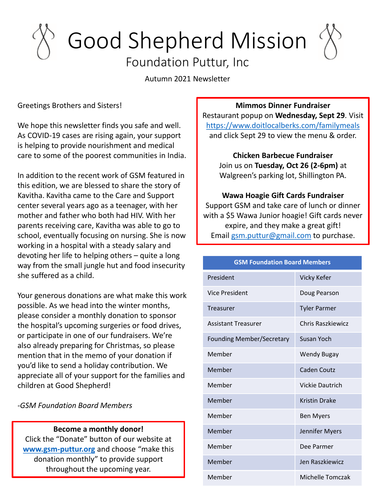# Good Shepherd Mission

## Foundation Puttur, Inc

Autumn 2021 Newsletter

Greetings Brothers and Sisters!

We hope this newsletter finds you safe and well. As COVID-19 cases are rising again, your support is helping to provide nourishment and medical care to some of the poorest communities in India.

In addition to the recent work of GSM featured in this edition, we are blessed to share the story of Kavitha. Kavitha came to the Care and Support center several years ago as a teenager, with her mother and father who both had HIV. With her parents receiving care, Kavitha was able to go to school, eventually focusing on nursing. She is now working in a hospital with a steady salary and devoting her life to helping others – quite a long way from the small jungle hut and food insecurity she suffered as a child.

Your generous donations are what make this work possible. As we head into the winter months, please consider a monthly donation to sponsor the hospital's upcoming surgeries or food drives, or participate in one of our fundraisers. We're also already preparing for Christmas, so please mention that in the memo of your donation if you'd like to send a holiday contribution. We appreciate all of your support for the families and children at Good Shepherd!

*-GSM Foundation Board Members*

#### **Become a monthly donor!**

Click the "Donate" button of our website at **[www.gsm-puttur.org](http://www.gsm-puttur.org/)** and choose "make this donation monthly" to provide support throughout the upcoming year.

#### **Mimmos Dinner Fundraiser**

Restaurant popup on **Wednesday, Sept 29**. Visit <https://www.doitlocalberks.com/familymeals> and click Sept 29 to view the menu & order.

**Chicken Barbecue Fundraiser** Join us on **Tuesday, Oct 26 (2-6pm)** at Walgreen's parking lot, Shillington PA.

#### **Wawa Hoagie Gift Cards Fundraiser** Support GSM and take care of lunch or dinner

with a \$5 Wawa Junior hoagie! Gift cards never expire, and they make a great gift! Email [gsm.puttur@gmail.com](mailto:gsm.puttur@gmail.com) to purchase.

#### **GSM Foundation Board Members**

| President                        | Vicky Kefer          |
|----------------------------------|----------------------|
| <b>Vice President</b>            | Doug Pearson         |
| Treasurer                        | <b>Tyler Parmer</b>  |
| <b>Assistant Treasurer</b>       | Chris Raszkiewicz    |
| <b>Founding Member/Secretary</b> | Susan Yoch           |
| Member                           | <b>Wendy Bugay</b>   |
| Member                           | Caden Coutz          |
| Member                           | Vickie Dautrich      |
| Member                           | <b>Kristin Drake</b> |
| Member                           | <b>Ben Myers</b>     |
| Member                           | Jennifer Myers       |
| Member                           | Dee Parmer           |
| Member                           | Jen Raszkiewicz      |
| Member                           | Michelle Tomczak     |